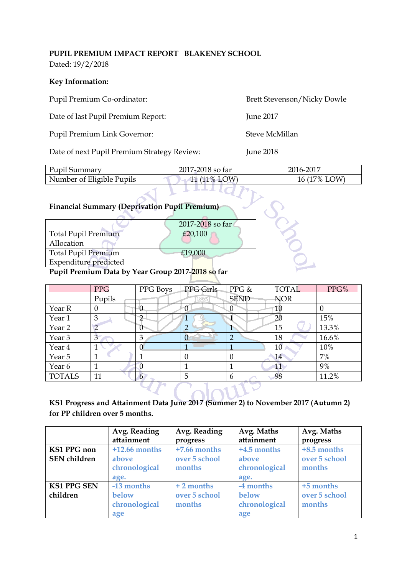#### **PUPIL PREMIUM IMPACT REPORT BLAKENEY SCHOOL** Dated: 19/2/2018

### **Key Information:**

Date of last Pupil Premium Report: June 2017

Pupil Premium Link Governor: Steve McMillan

Date of next Pupil Premium Strategy Review: June 2018

Pupil Premium Co-ordinator: Brett Stevenson/Nicky Dowle

| Pupil Summary             | 2017-2018 so far | 2016-2017    |
|---------------------------|------------------|--------------|
| Number of Eligible Pupils | 11 $(11\%$ I OW  | 16 (17% LOW) |
|                           |                  |              |

# **Financial Summary (Deprivation Pupil Premium)**

| <b>Financial Summary (Deprivation Pupil Premium)</b> |                  |  |
|------------------------------------------------------|------------------|--|
|                                                      | 2017-2018 so far |  |
| <b>Total Pupil Premium</b>                           | £20,100          |  |
| Allocation                                           |                  |  |
| <b>Total Pupil Premium</b>                           | £19,000          |  |
| <b>Expenditure</b> predicted                         |                  |  |
| Pupil Premium Data by Year Group 2017-2018 so far    |                  |  |

## **Pupil Premium Data by Year Group 2017-2018 so far**

|               | <b>PPG</b>  | PPG Boys | PPG Girls | $PPG$ &        | <b>TOTAL</b> | PPG%  |
|---------------|-------------|----------|-----------|----------------|--------------|-------|
|               | Pupils      |          | 1865      | <b>SEND</b>    | <b>NOR</b>   |       |
| Year R        | 0           | O        |           | 0              | 10           | 0     |
| Year 1        | 3           | റ        |           |                | 20           | 15%   |
| Year 2        |             | $\Omega$ | ◠         |                | 15           | 13.3% |
| Year 3        | $3^{\circ}$ | 3        |           | $\overline{2}$ | 18           | 16.6% |
| Year 4        |             | $\Omega$ |           |                | 10           | 10%   |
| Year 5        |             |          | 0         | $\Omega$       | 14           | 7%    |
| Year 6        |             |          |           |                | 11           | 9%    |
| <b>TOTALS</b> | 11          | 6        | 5         | 6              | 98           | 11.2% |
|               |             |          |           |                |              |       |

## **KS1 Progress and Attainment Data June 2017 (Summer 2) to November 2017 (Autumn 2) for PP children over 5 months.**

|                                           | Avg. Reading<br>attainment                        | Avg. Reading<br>progress                  | Avg. Maths<br>attainment                        | Avg. Maths<br>progress                 |
|-------------------------------------------|---------------------------------------------------|-------------------------------------------|-------------------------------------------------|----------------------------------------|
| <b>KS1 PPG</b> non<br><b>SEN</b> children | $+12.66$ months<br>above<br>chronological<br>age. | $+7.66$ months<br>over 5 school<br>months | $+4.5$ months<br>above<br>chronological<br>age. | +8.5 months<br>over 5 school<br>months |
| <b>KS1 PPG SEN</b><br>children            | -13 months<br>below<br>chronological<br>age       | $+2$ months<br>over 5 school<br>months    | -4 months<br>below<br>chronological<br>age      | +5 months<br>over 5 school<br>months   |